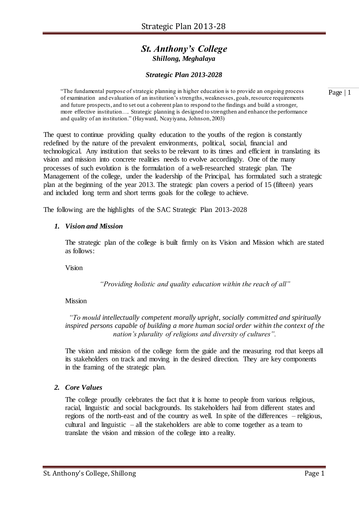## *St. Anthony's College Shillong, Meghalaya*

## *Strategic Plan 2013-2028*

"The fundamental purpose of strategic planning in higher education is to provide an ongoing process of examination and evaluation of an institution's strengths, weaknesses, goals, resource requirements and future prospects, and to set out a coherent plan to respond to the findings and build a stronger, more effective institution…. Strategic planning is designed to strengthen and enhance the performance and quality of an institution." (Hayward, Ncayiyana, Johnson, 2003)

The quest to continue providing quality education to the youths of the region is constantly redefined by the nature of the prevalent environments, political, social, financial and technological. Any institution that seeks to be relevant to its times and efficient in translating its vision and mission into concrete realities needs to evolve accordingly. One of the many processes of such evolution is the formulation of a well-researched strategic plan. The Management of the college, under the leadership of the Principal, has formulated such a strategic plan at the beginning of the year 2013. The strategic plan covers a period of 15 (fifteen) years and included long term and short terms goals for the college to achieve.

The following are the highlights of the SAC Strategic Plan 2013-2028

#### *1. Vision and Mission*

The strategic plan of the college is built firmly on its Vision and Mission which are stated as follows:

Vision

*"Providing holistic and quality education within the reach of all"*

## Mission

*"To mould intellectually competent morally upright, socially committed and spiritually inspired persons capable of building a more human social order within the context of the nation's plurality of religions and diversity of cultures".*

The vision and mission of the college form the guide and the measuring rod that keeps all its stakeholders on track and moving in the desired direction. They are key components in the framing of the strategic plan.

## *2. Core Values*

The college proudly celebrates the fact that it is home to people from various religious, racial, linguistic and social backgrounds. Its stakeholders hail from different states and regions of the north-east and of the country as well. In spite of the differences – religious, cultural and linguistic – all the stakeholders are able to come together as a team to translate the vision and mission of the college into a reality.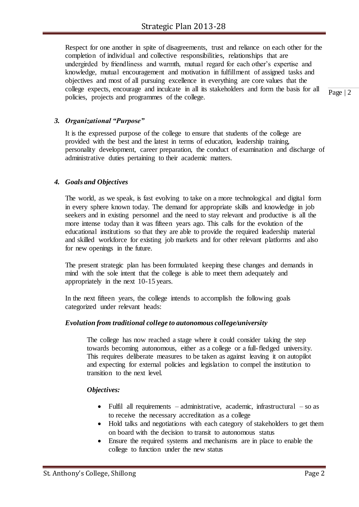Respect for one another in spite of disagreements, trust and reliance on each other for the completion of individual and collective responsibilities, relationships that are undergirded by friendliness and warmth, mutual regard for each other's expertise and knowledge, mutual encouragement and motivation in fulfillment of assigned tasks and objectives and most of all pursuing excellence in everything are core values that the college expects, encourage and inculcate in all its stakeholders and form the basis for all policies, projects and programmes of the college.

*3. Organizational "Purpose"* 

It is the expressed purpose of the college to ensure that students of the college are provided with the best and the latest in terms of education, leadership training, personality development, career preparation, the conduct of examination and discharge of administrative duties pertaining to their academic matters.

## *4. Goals and Objectives*

The world, as we speak, is fast evolving to take on a more technological and digital form in every sphere known today. The demand for appropriate skills and knowledge in job seekers and in existing personnel and the need to stay relevant and productive is all the more intense today than it was fifteen years ago. This calls for the evolution of the educational institutions so that they are able to provide the required leadership material and skilled workforce for existing job markets and for other relevant platforms and also for new openings in the future.

The present strategic plan has been formulated keeping these changes and demands in mind with the sole intent that the college is able to meet them adequately and appropriately in the next 10-15 years.

In the next fifteen years, the college intends to accomplish the following goals categorized under relevant heads:

## *Evolution from traditional college to autonomous college/university*

The college has now reached a stage where it could consider taking the step towards becoming autonomous, either as a college or a full-fledged university. This requires deliberate measures to be taken as against leaving it on autopilot and expecting for external policies and legislation to compel the institution to transition to the next level.

## *Objectives:*

- Fulfil all requirements administrative, academic, infrastructural so as to receive the necessary accreditation as a college
- Hold talks and negotiations with each category of stakeholders to get them on board with the decision to transit to autonomous status
- Ensure the required systems and mechanisms are in place to enable the college to function under the new status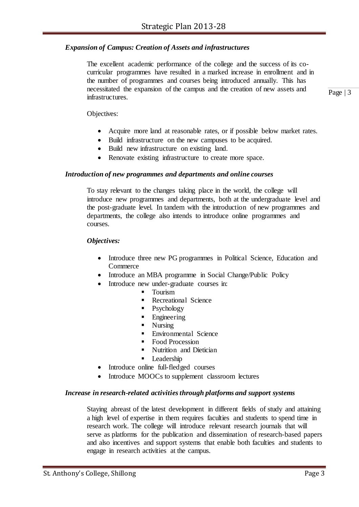## *Expansion of Campus: Creation of Assets and infrastructures*

The excellent academic performance of the college and the success of its cocurricular programmes have resulted in a marked increase in enrollment and in the number of programmes and courses being introduced annually. This has necessitated the expansion of the campus and the creation of new assets and infrastructures.

Page | 3

Objectives:

- Acquire more land at reasonable rates, or if possible below market rates.
- Build infrastructure on the new campuses to be acquired.
- Build new infrastructure on existing land.
- Renovate existing infrastructure to create more space.

#### *Introduction of new programmes and departments and online courses*

To stay relevant to the changes taking place in the world, the college will introduce new programmes and departments, both at the undergraduate level and the post-graduate level. In tandem with the introduction of new programmes and departments, the college also intends to introduce online programmes and courses.

#### *Objectives:*

- Introduce three new PG programmes in Political Science, Education and Commerce
- Introduce an MBA programme in Social Change/Public Policy
	- Introduce new under-graduate courses in:
		- **Tourism** 
			- **Recreational Science**
			- $\blacksquare$  Psychology
			- **Engineering**
			- Nursing
			- **Environmental Science**
			- Food Procession
			- Nutrition and Dietician
			- **Leadership**
	- Introduce online full-fledged courses
- Introduce MOOCs to supplement classroom lectures

#### *Increase in research-related activitiesthrough platforms and support systems*

Staying abreast of the latest development in different fields of study and attaining a high level of expertise in them requires faculties and students to spend time in research work. The college will introduce relevant research journals that will serve as platforms for the publication and dissemination of research-based papers and also incentives and support systems that enable both faculties and students to engage in research activities at the campus.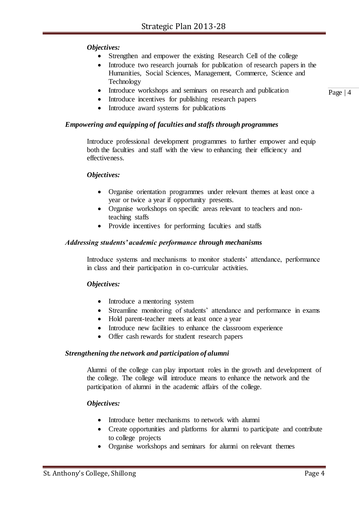## *Objectives:*

- Strengthen and empower the existing Research Cell of the college
- Introduce two research journals for publication of research papers in the Humanities, Social Sciences, Management, Commerce, Science and Technology
- Introduce workshops and seminars on research and publication
- Introduce incentives for publishing research papers
- Introduce award systems for publications

#### *Empowering and equipping of faculties and staffs through programmes*

Introduce professional development programmes to further empower and equip both the faculties and staff with the view to enhancing their efficiency and effectiveness.

#### *Objectives:*

- Organise orientation programmes under relevant themes at least once a year or twice a year if opportunity presents.
- Organise workshops on specific areas relevant to teachers and nonteaching staffs
- Provide incentives for performing faculties and staffs

#### *Addressing students' academic performance through mechanisms*

Introduce systems and mechanisms to monitor students' attendance, performance in class and their participation in co-curricular activities.

#### *Objectives:*

- Introduce a mentoring system
- Streamline monitoring of students' attendance and performance in exams
- Hold parent-teacher meets at least once a year
- Introduce new facilities to enhance the classroom experience
- Offer cash rewards for student research papers

#### *Strengthening the network and participation of alumni*

Alumni of the college can play important roles in the growth and development of the college. The college will introduce means to enhance the network and the participation of alumni in the academic affairs of the college.

#### *Objectives:*

- Introduce better mechanisms to network with alumni
- Create opportunities and platforms for alumni to participate and contribute to college projects
- Organise workshops and seminars for alumni on relevant themes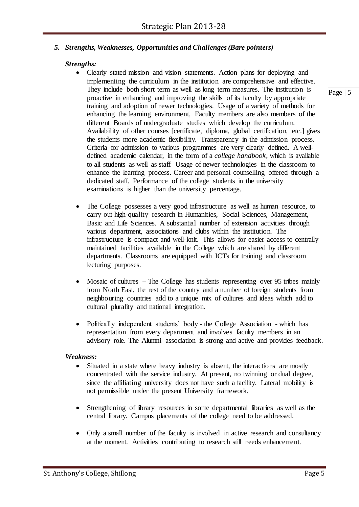## *5. Strengths, Weaknesses, Opportunities and Challenges(Bare pointers)*

#### *Strengths:*

- Clearly stated mission and vision statements. Action plans for deploying and implementing the curriculum in the institution are comprehensive and effective. They include both short term as well as long term measures. The institution is proactive in enhancing and improving the skills of its faculty by appropriate training and adoption of newer technologies. Usage of a variety of methods for enhancing the learning environment, Faculty members are also members of the different Boards of undergraduate studies which develop the curriculum. Availability of other courses [certificate, diploma, global certification, etc.] gives the students more academic flexibility. Transparency in the admission process. Criteria for admission to various programmes are very clearly defined. A welldefined academic calendar, in the form of a *college handbook*, which is available to all students as well as staff. Usage of newer technologies in the classroom to enhance the learning process. Career and personal counselling offered through a dedicated staff. Performance of the college students in the university examinations is higher than the university percentage.
- The College possesses a very good infrastructure as well as human resource, to carry out high-quality research in Humanities, Social Sciences, Management, Basic and Life Sciences. A substantial number of extension activities through various department, associations and clubs within the institution. The infrastructure is compact and well-knit. This allows for easier access to centrally maintained facilities available in the College which are shared by different departments. Classrooms are equipped with ICTs for training and classroom lecturing purposes.
- Mosaic of cultures The College has students representing over 95 tribes mainly from North East, the rest of the country and a number of foreign students from neighbouring countries add to a unique mix of cultures and ideas which add to cultural plurality and national integration.
- Politically independent students' body the College Association which has representation from every department and involves faculty members in an advisory role. The Alumni association is strong and active and provides feedback.

#### *Weakness:*

- Situated in a state where heavy industry is absent, the interactions are mostly concentrated with the service industry. At present, no twinning or dual degree, since the affiliating university does not have such a facility. Lateral mobility is not permissible under the present University framework.
- Strengthening of library resources in some departmental libraries as well as the central library. Campus placements of the college need to be addressed.
- Only a small number of the faculty is involved in active research and consultancy at the moment. Activities contributing to research still needs enhancement.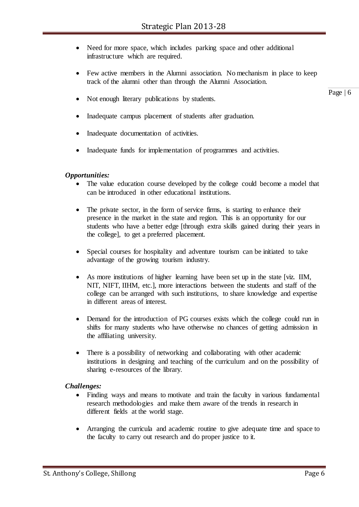- Need for more space, which includes parking space and other additional infrastructure which are required.
- Few active members in the Alumni association. No mechanism in place to keep track of the alumni other than through the Alumni Association.
- Not enough literary publications by students.
- Inadequate campus placement of students after graduation.
- Inadequate documentation of activities.
- Inadequate funds for implementation of programmes and activities.

#### *Opportunities:*

- The value education course developed by the college could become a model that can be introduced in other educational institutions.
- The private sector, in the form of service firms, is starting to enhance their presence in the market in the state and region. This is an opportunity for our students who have a better edge [through extra skills gained during their years in the college], to get a preferred placement.
- Special courses for hospitality and adventure tourism can be initiated to take advantage of the growing tourism industry.
- As more institutions of higher learning have been set up in the state [viz. IIM, NIT, NIFT, IIHM, etc.], more interactions between the students and staff of the college can be arranged with such institutions, to share knowledge and expertise in different areas of interest.
- Demand for the introduction of PG courses exists which the college could run in shifts for many students who have otherwise no chances of getting admission in the affiliating university.
- There is a possibility of networking and collaborating with other academic institutions in designing and teaching of the curriculum and on the possibility of sharing e-resources of the library.

#### *Challenges:*

- Finding ways and means to motivate and train the faculty in various fundamental research methodologies and make them aware of the trends in research in different fields at the world stage.
- Arranging the curricula and academic routine to give adequate time and space to the faculty to carry out research and do proper justice to it.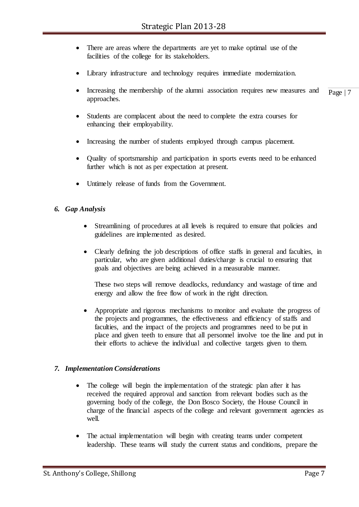- There are areas where the departments are yet to make optimal use of the facilities of the college for its stakeholders.
- Library infrastructure and technology requires immediate modernization.
- Page | 7 Increasing the membership of the alumni association requires new measures and approaches.
- Students are complacent about the need to complete the extra courses for enhancing their employability.
- Increasing the number of students employed through campus placement.
- Quality of sportsmanship and participation in sports events need to be enhanced further which is not as per expectation at present.
- Untimely release of funds from the Government.

## *6. Gap Analysis*

- Streamlining of procedures at all levels is required to ensure that policies and guidelines are implemented as desired.
- Clearly defining the job descriptions of office staffs in general and faculties, in particular, who are given additional duties/charge is crucial to ensuring that goals and objectives are being achieved in a measurable manner.

These two steps will remove deadlocks, redundancy and wastage of time and energy and allow the free flow of work in the right direction.

 Appropriate and rigorous mechanisms to monitor and evaluate the progress of the projects and programmes, the effectiveness and efficiency of staffs and faculties, and the impact of the projects and programmes need to be put in place and given teeth to ensure that all personnel involve toe the line and put in their efforts to achieve the individual and collective targets given to them.

## *7. Implementation Considerations*

- The college will begin the implementation of the strategic plan after it has received the required approval and sanction from relevant bodies such as the governing body of the college, the Don Bosco Society, the House Council in charge of the financial aspects of the college and relevant government agencies as well.
- The actual implementation will begin with creating teams under competent leadership. These teams will study the current status and conditions, prepare the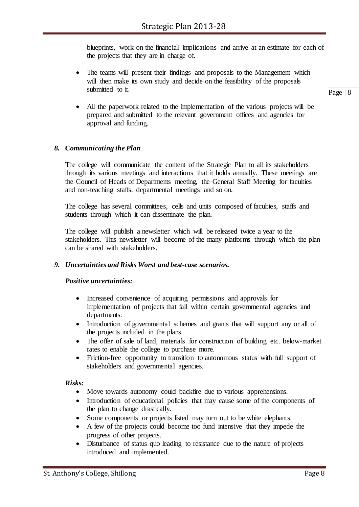blueprints, work on the financial implications and arrive at an estimate for each of the projects that they are in charge of.

 The teams will present their findings and proposals to the Management which will then make its own study and decide on the feasibility of the proposals submitted to it.

Page | 8

 All the paperwork related to the implementation of the various projects will be prepared and submitted to the relevant government offices and agencies for approval and funding.

## *8. Communicating the Plan*

The college will communicate the content of the Strategic Plan to all its stakeholders through its various meetings and interactions that it holds annually. These meetings are the Council of Heads of Departments meeting, the General Staff Meeting for faculties and non-teaching staffs, departmental meetings and so on.

The college has several committees, cells and units composed of faculties, staffs and students through which it can disseminate the plan.

The college will publish a newsletter which will be released twice a year to the stakeholders. This newsletter will become of the many platforms through which the plan can be shared with stakeholders.

## *9. Uncertainties and Risks Worst and best-case scenarios.*

## *Positive uncertainties:*

- Increased convenience of acquiring permissions and approvals for implementation of projects that fall within certain governmental agencies and departments.
- Introduction of governmental schemes and grants that will support any or all of the projects included in the plans.
- The offer of sale of land, materials for construction of building etc. below-market rates to enable the college to purchase more.
- Friction-free opportunity to transition to autonomous status with full support of stakeholders and governmental agencies.

## *Risks:*

- Move towards autonomy could backfire due to various apprehensions.
- Introduction of educational policies that may cause some of the components of the plan to change drastically.
- Some components or projects listed may turn out to be white elephants.
- A few of the projects could become too fund intensive that they impede the progress of other projects.
- Disturbance of status quo leading to resistance due to the nature of projects introduced and implemented.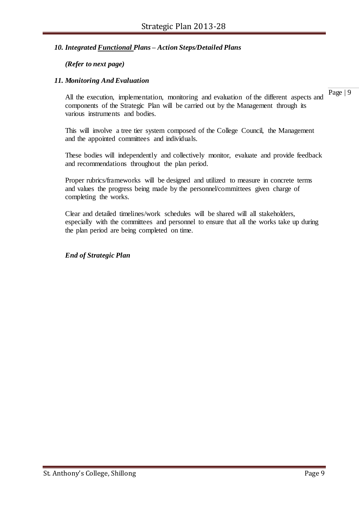## *10. Integrated Functional Plans – Action Steps/Detailed Plans*

## *(Refer to next page)*

## *11. Monitoring And Evaluation*

All the execution, implementation, monitoring and evaluation of the different aspects and components of the Strategic Plan will be carried out by the Management through its various instruments and bodies.

This will involve a tree tier system composed of the College Council, the Management and the appointed committees and individuals.

These bodies will independently and collectively monitor, evaluate and provide feedback and recommendations throughout the plan period.

Proper rubrics/frameworks will be designed and utilized to measure in concrete terms and values the progress being made by the personnel/committees given charge of completing the works.

Clear and detailed timelines/work schedules will be shared will all stakeholders, especially with the committees and personnel to ensure that all the works take up during the plan period are being completed on time.

*End of Strategic Plan*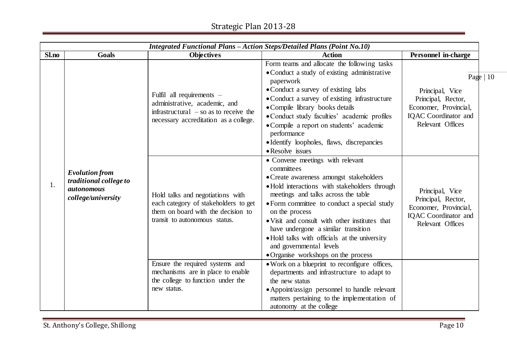# Strategic Plan 2013-28

|       | Integrated Functional Plans - Action Steps/Detailed Plans (Point No.10)                    |                                                                                                                                                 |                                                                                                                                                                                                                                                                                                                                                                                                                                                                |                                                                                                                                 |  |
|-------|--------------------------------------------------------------------------------------------|-------------------------------------------------------------------------------------------------------------------------------------------------|----------------------------------------------------------------------------------------------------------------------------------------------------------------------------------------------------------------------------------------------------------------------------------------------------------------------------------------------------------------------------------------------------------------------------------------------------------------|---------------------------------------------------------------------------------------------------------------------------------|--|
| Sl.no | Goals                                                                                      | <b>Objectives</b>                                                                                                                               | <b>Action</b>                                                                                                                                                                                                                                                                                                                                                                                                                                                  | Personnel in-charge                                                                                                             |  |
|       |                                                                                            | Fulfil all requirements -<br>administrative, academic, and<br>infrastructural $-$ so as to receive the<br>necessary accreditation as a college. | Form teams and allocate the following tasks<br>• Conduct a study of existing administrative<br>paperwork<br>• Conduct a survey of existing labs<br>• Conduct a survey of existing infrastructure<br>• Compile library books details<br>• Conduct study faculties' academic profiles<br>• Compile a report on students' academic<br>performance<br>• Identify loopholes, flaws, discrepancies<br>• Resolve issues                                               | Page $ 10$<br>Principal, Vice<br>Principal, Rector,<br>Economer, Provincial,<br><b>IQAC</b> Coordinator and<br>Relevant Offices |  |
| 1.    | <b>Evolution from</b><br>traditional college to<br><i>autonomous</i><br>college/university | Hold talks and negotiations with<br>each category of stakeholders to get<br>them on board with the decision to<br>transit to autonomous status. | • Convene meetings with relevant<br>committees<br>• Create awareness amongst stakeholders<br>• Hold interactions with stakeholders through<br>meetings and talks across the table<br>• Form committee to conduct a special study<br>on the process<br>• Visit and consult with other institutes that<br>have undergone a similar transition<br>• Hold talks with officials at the university<br>and governmental levels<br>• Organise workshops on the process | Principal, Vice<br>Principal, Rector,<br>Economer, Provincial,<br><b>IQAC</b> Coordinator and<br>Relevant Offices               |  |
|       |                                                                                            | Ensure the required systems and<br>mechanisms are in place to enable<br>the college to function under the<br>new status.                        | • Work on a blueprint to reconfigure offices,<br>departments and infrastructure to adapt to<br>the new status<br>• Appoint/assign personnel to handle relevant<br>matters pertaining to the implementation of<br>autonomy at the college                                                                                                                                                                                                                       |                                                                                                                                 |  |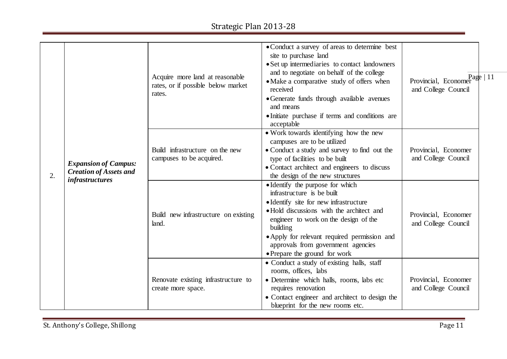| 2. |                                                              | Acquire more land at reasonable<br>rates, or if possible below market<br>rates. | • Conduct a survey of areas to determine best<br>site to purchase land<br>• Set up intermediaries to contact landowners<br>and to negotiate on behalf of the college<br>• Make a comparative study of offers when<br>received<br>• Generate funds through available avenues<br>and means<br>• Initiate purchase if terms and conditions are<br>acceptable | Page $ 11$<br>Provincial, Economer<br>and College Council<br>Provincial, Economer<br>and College Council<br>Provincial, Economer |
|----|--------------------------------------------------------------|---------------------------------------------------------------------------------|-----------------------------------------------------------------------------------------------------------------------------------------------------------------------------------------------------------------------------------------------------------------------------------------------------------------------------------------------------------|----------------------------------------------------------------------------------------------------------------------------------|
|    | <b>Expansion of Campus:</b><br><b>Creation of Assets and</b> | Build infrastructure on the new<br>campuses to be acquired.                     | • Work towards identifying how the new<br>campuses are to be utilized<br>• Conduct a study and survey to find out the<br>type of facilities to be built<br>• Contact architect and engineers to discuss<br>the design of the new structures                                                                                                               |                                                                                                                                  |
|    | <i>infrastructures</i>                                       | Build new infrastructure on existing<br>land.                                   | • Identify the purpose for which<br>infrastructure is be built<br>• Identify site for new infrastructure<br>• Hold discussions with the architect and<br>engineer to work on the design of the<br>building<br>• Apply for relevant required permission and<br>approvals from government agencies<br>• Prepare the ground for work                         | and College Council                                                                                                              |
|    |                                                              | Renovate existing infrastructure to<br>create more space.                       | · Conduct a study of existing halls, staff<br>rooms, offices, labs<br>• Determine which halls, rooms, labs etc<br>requires renovation<br>• Contact engineer and architect to design the<br>blueprint for the new rooms etc.                                                                                                                               | Provincial, Economer<br>and College Council                                                                                      |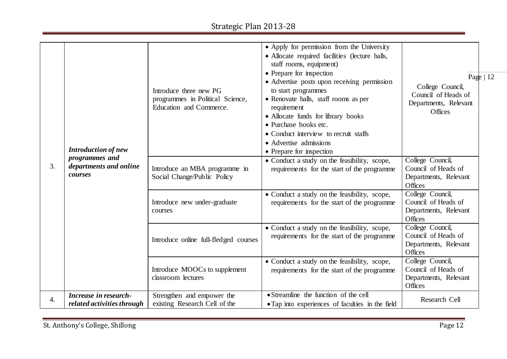| 3.               | <b>Introduction of new</b><br>programmes and<br>departments and online<br>courses | Introduce three new PG<br>programmes in Political Science,<br>Education and Commerce.<br>Introduce an MBA programme in<br>Social Change/Public Policy | • Apply for permission from the University<br>• Allocate required facilities (lecture halls,<br>staff rooms, equipment)<br>• Prepare for inspection<br>• Advertise posts upon receiving permission<br>to start programmes<br>• Renovate halls, staff rooms as per<br>requirement<br>• Allocate funds for library books<br>• Purchase books etc.<br>• Conduct interview to recruit staffs<br>• Advertise admissions<br>• Prepare for inspection<br>• Conduct a study on the feasibility, scope,<br>requirements for the start of the programme | Page $ 12 $<br>College Council,<br>Council of Heads of<br>Departments, Relevant<br>Offices<br>College Council,<br>Council of Heads of<br>Departments, Relevant |  |
|------------------|-----------------------------------------------------------------------------------|-------------------------------------------------------------------------------------------------------------------------------------------------------|-----------------------------------------------------------------------------------------------------------------------------------------------------------------------------------------------------------------------------------------------------------------------------------------------------------------------------------------------------------------------------------------------------------------------------------------------------------------------------------------------------------------------------------------------|----------------------------------------------------------------------------------------------------------------------------------------------------------------|--|
|                  |                                                                                   | Introduce new under-graduate<br>courses                                                                                                               | • Conduct a study on the feasibility, scope,<br>requirements for the start of the programme                                                                                                                                                                                                                                                                                                                                                                                                                                                   | Offices<br>College Council,<br>Council of Heads of<br>Departments, Relevant<br>Offices                                                                         |  |
|                  |                                                                                   | Introduce online full-fledged courses                                                                                                                 | • Conduct a study on the feasibility, scope,<br>requirements for the start of the programme                                                                                                                                                                                                                                                                                                                                                                                                                                                   | College Council,<br>Council of Heads of<br>Departments, Relevant<br>Offices                                                                                    |  |
|                  |                                                                                   | Introduce MOOCs to supplement<br>classroom lectures                                                                                                   | • Conduct a study on the feasibility, scope,<br>requirements for the start of the programme                                                                                                                                                                                                                                                                                                                                                                                                                                                   | College Council,<br>Council of Heads of<br>Departments, Relevant<br>Offices                                                                                    |  |
| $\overline{4}$ . | Increase in research-<br>related activities through                               | Strengthen and empower the<br>existing Research Cell of the                                                                                           | • Streamline the function of the cell<br>• Tap into experiences of faculties in the field                                                                                                                                                                                                                                                                                                                                                                                                                                                     | Research Cell                                                                                                                                                  |  |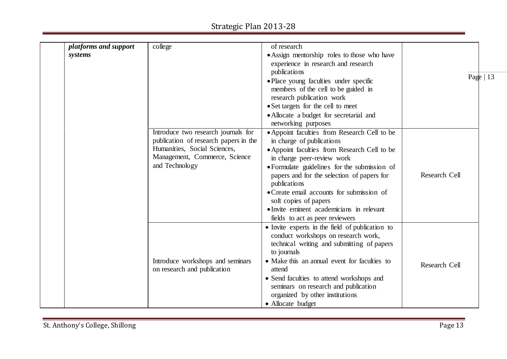# Strategic Plan 2013-28

| platforms and support | college                                         | of research                                                        |               |           |
|-----------------------|-------------------------------------------------|--------------------------------------------------------------------|---------------|-----------|
| systems               |                                                 | • Assign mentorship roles to those who have                        |               |           |
|                       |                                                 | experience in research and research                                |               |           |
|                       |                                                 | publications                                                       |               | Page   13 |
|                       |                                                 | • Place young faculties under specific                             |               |           |
|                       |                                                 | members of the cell to be guided in                                |               |           |
|                       |                                                 | research publication work                                          |               |           |
|                       |                                                 | • Set targets for the cell to meet                                 |               |           |
|                       |                                                 | • Allocate a budget for secretarial and                            |               |           |
|                       |                                                 | networking purposes                                                |               |           |
|                       | Introduce two research journals for             | • Appoint faculties from Research Cell to be                       |               |           |
|                       | publication of research papers in the           | in charge of publications                                          |               |           |
|                       | Humanities, Social Sciences,                    | • Appoint faculties from Research Cell to be                       |               |           |
|                       | Management, Commerce, Science<br>and Technology | in charge peer-review work                                         |               |           |
|                       |                                                 | • Formulate guidelines for the submission of                       |               |           |
|                       |                                                 | papers and for the selection of papers for                         | Research Cell |           |
|                       |                                                 | publications                                                       |               |           |
|                       |                                                 | • Create email accounts for submission of                          |               |           |
|                       |                                                 | soft copies of papers<br>• Invite eminent academicians in relevant |               |           |
|                       |                                                 | fields to act as peer reviewers                                    |               |           |
|                       |                                                 | • Invite experts in the field of publication to                    |               |           |
|                       |                                                 | conduct workshops on research work,                                |               |           |
|                       |                                                 | technical writing and submitting of papers                         |               |           |
|                       |                                                 | to journals                                                        |               |           |
|                       | Introduce workshops and seminars                | • Make this an annual event for faculties to                       |               |           |
|                       | on research and publication                     | attend                                                             | Research Cell |           |
|                       |                                                 | • Send faculties to attend workshops and                           |               |           |
|                       |                                                 | seminars on research and publication                               |               |           |
|                       |                                                 | organized by other institutions                                    |               |           |
|                       |                                                 | • Allocate budget                                                  |               |           |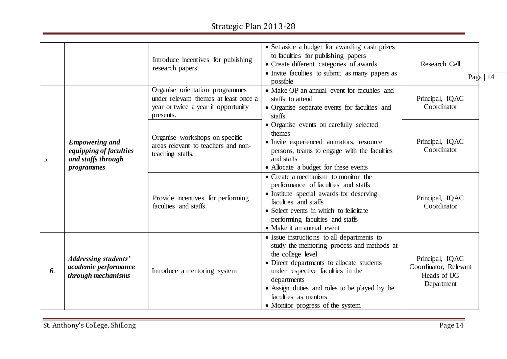# Strategic Plan 2013-28

|    |                                                                                            | Introduce incentives for publishing<br>research papers<br>Organise orientation programmes | • Set aside a budget for awarding cash prizes<br>to faculties for publishing papers<br>• Create different categories of awards<br>• Invite faculties to submit as many papers as<br>possible<br>• Make OP an annual event for faculties and                                                                                 | Research Cell<br>Page $ 14$                                           |
|----|--------------------------------------------------------------------------------------------|-------------------------------------------------------------------------------------------|-----------------------------------------------------------------------------------------------------------------------------------------------------------------------------------------------------------------------------------------------------------------------------------------------------------------------------|-----------------------------------------------------------------------|
|    |                                                                                            | under relevant themes at least once a<br>year or twice a year if opportunity<br>presents. | staffs to attend<br>• Organise separate events for faculties and<br>staffs                                                                                                                                                                                                                                                  | Principal, IQAC<br>Coordinator                                        |
| 5. | <b>Empowering and</b><br>equipping of faculties<br>and staffs through<br><i>programmes</i> | Organise workshops on specific<br>areas relevant to teachers and non-<br>teaching staffs. | • Organise events on carefully selected<br>themes<br>· Invite experienced animators, resource<br>persons, teams to engage with the faculties<br>and staffs<br>• Allocate a budget for these events                                                                                                                          | Principal, IQAC<br>Coordinator<br>Principal, IQAC<br>Coordinator      |
|    |                                                                                            | Provide incentives for performing<br>faculties and staffs.                                | • Create a mechanism to monitor the<br>performance of faculties and staffs<br>• Institute special awards for deserving<br>faculties and staffs<br>• Select events in which to felicitate<br>performing faculties and staffs<br>• Make it an annual event                                                                    |                                                                       |
| 6. | <b>Addressing students'</b><br>academic performance<br>through mechanisms                  | Introduce a mentoring system                                                              | • Issue instructions to all departments to<br>study the mentoring process and methods at<br>the college level<br>• Direct departments to allocate students<br>under respective faculties in the<br>departments<br>• Assign duties and roles to be played by the<br>faculties as mentors<br>• Monitor progress of the system | Principal, IQAC<br>Coordinator, Relevant<br>Heads of UG<br>Department |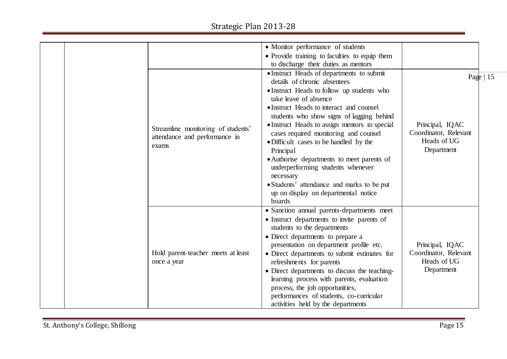|                                    | • Monitor performance of students                                          |                       |
|------------------------------------|----------------------------------------------------------------------------|-----------------------|
|                                    | • Provide training to faculties to equip them                              |                       |
|                                    | to discharge their duties as mentors                                       |                       |
|                                    | • Instruct Heads of departments to submit                                  | Page $ 15$            |
|                                    | details of chronic absentees                                               |                       |
|                                    | • Instruct Heads to follow up students who                                 |                       |
|                                    | take leave of absence                                                      |                       |
|                                    | • Instruct Heads to interact and counsel                                   |                       |
|                                    | students who show signs of lagging behind                                  |                       |
| Streamline monitoring of students' | • Instruct Heads to assign mentors to special                              | Principal, IQAC       |
| attendance and performance in      | cases required monitoring and counsel                                      | Coordinator, Relevant |
| exams                              | • Difficult cases to be handled by the                                     | Heads of UG           |
|                                    | Principal                                                                  | Department            |
|                                    | • Authorise departments to meet parents of                                 |                       |
|                                    | underperforming students whenever                                          |                       |
|                                    | necessary                                                                  |                       |
|                                    | • Students' attendance and marks to be put                                 |                       |
|                                    | up on display on departmental notice<br>boards                             |                       |
|                                    |                                                                            |                       |
|                                    | • Sanction annual parents-departments meet                                 |                       |
|                                    | • Instruct departments to invite parents of<br>students to the departments |                       |
|                                    | • Direct departments to prepare a                                          |                       |
|                                    | presentation on department profile etc.                                    | Principal, IQAC       |
| Hold parent-teacher meets at least | • Direct departments to submit estimates for                               | Coordinator, Relevant |
| once a year                        | refreshments for parents                                                   | Heads of UG           |
|                                    | • Direct departments to discuss the teaching-                              | Department            |
|                                    | learning process with parents, evaluation                                  |                       |
|                                    | process, the job opportunities,                                            |                       |
|                                    | performances of students, co-curricular                                    |                       |
|                                    | activities held by the departments                                         |                       |